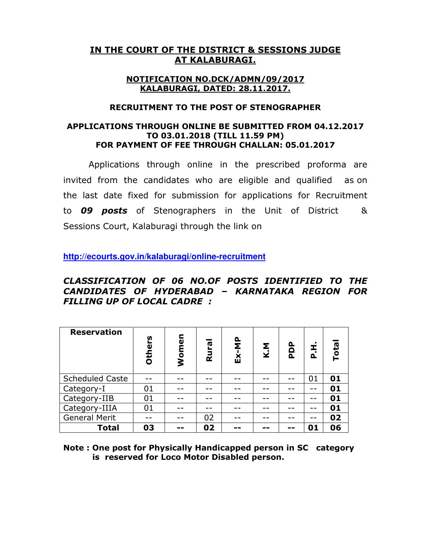# IN THE COURT OF THE DISTRICT & SESSIONS JUDGE AT KALABURAGI.

### NOTIFICATION NO.DCK/ADMN/09/2017 KALABURAGI, DATED: 28.11.2017.

### RECRUITMENT TO THE POST OF STENOGRAPHER

## APPLICATIONS THROUGH ONLINE BE SUBMITTED FROM 04.12.2017 TO 03.01.2018 (TILL 11.59 PM) FOR PAYMENT OF FEE THROUGH CHALLAN: 05.01.2017

Applications through online in the prescribed proforma are invited from the candidates who are eligible and qualified as on the last date fixed for submission for applications for Recruitment to **09 posts** of Stenographers in the Unit of District & Sessions Court, Kalaburagi through the link on

**http://ecourts.gov.in/kalaburagi/online-recruitment**

# CLASSIFICATION OF 06 NO.OF POSTS IDENTIFIED TO THE CANDIDATES OF HYDERABAD – KARNATAKA REGION FOR FILLING UP OF LOCAL CADRE :

| <b>Reservation</b>     | ပ္ပ<br>Other | men<br>$\overline{\mathsf{S}}$ | Rura | Ex-MP | K.M | PDP | I<br>$\overline{\mathbf{a}}$ | <b>Total</b> |
|------------------------|--------------|--------------------------------|------|-------|-----|-----|------------------------------|--------------|
| <b>Scheduled Caste</b> |              |                                |      |       |     |     | 01                           | 01           |
| Category-I             | 01           |                                |      |       |     |     |                              | 01           |
| Category-IIB           | 01           |                                |      |       |     |     |                              | 01           |
| Category-IIIA          | 01           |                                |      |       |     |     |                              | 01           |
| <b>General Merit</b>   |              |                                | 02   |       |     |     |                              | 02           |
| <b>Total</b>           | 03           |                                | 02   |       |     |     | 01                           | 06           |

Note : One post for Physically Handicapped person in SC category is reserved for Loco Motor Disabled person.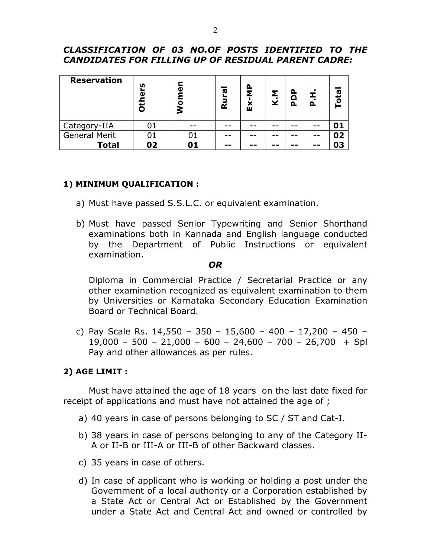# CLASSIFICATION OF 03 NO.OF POSTS IDENTIFIED TO THE CANDIDATES FOR FILLING UP OF RESIDUAL PARENT CADRE:

| <b>Reservation</b>   | n<br>ω<br>D | ω  | <b>G</b><br>Rui | Δ<br>Σ<br>மி | K.M |    |    | ota |
|----------------------|-------------|----|-----------------|--------------|-----|----|----|-----|
| Category-IIA         |             |    |                 |              |     |    |    |     |
| <b>General Merit</b> | 01          | 01 |                 |              |     |    |    | 02  |
| <b>Total</b>         | 02          |    | --              |              | --  | -- | -- | 03  |

## 1) MINIMUM QUALIFICATION :

- a) Must have passed S.S.L.C. or equivalent examination.
- b) Must have passed Senior Typewriting and Senior Shorthand examinations both in Kannada and English language conducted by the Department of Public Instructions or equivalent examination.

#### OR

Diploma in Commercial Practice / Secretarial Practice or any other examination recognized as equivalent examination to them by Universities or Karnataka Secondary Education Examination Board or Technical Board.

c) Pay Scale Rs. 14,550 – 350 – 15,600 – 400 – 17,200 – 450 –  $19,000 - 500 - 21,000 - 600 - 24,600 - 700 - 26,700 + Spl$ Pay and other allowances as per rules.

## 2) AGE LIMIT :

Must have attained the age of 18 years on the last date fixed for receipt of applications and must have not attained the age of ;

- a) 40 years in case of persons belonging to SC / ST and Cat-I.
- b) 38 years in case of persons belonging to any of the Category II-A or II-B or III-A or III-B of other Backward classes.
- c) 35 years in case of others.
- d) In case of applicant who is working or holding a post under the Government of a local authority or a Corporation established by a State Act or Central Act or Established by the Government under a State Act and Central Act and owned or controlled by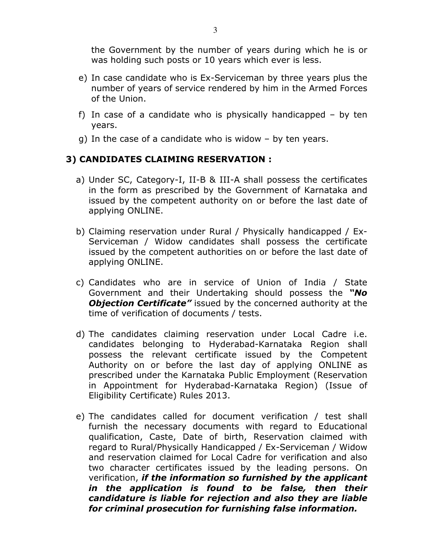the Government by the number of years during which he is or was holding such posts or 10 years which ever is less.

- e) In case candidate who is Ex-Serviceman by three years plus the number of years of service rendered by him in the Armed Forces of the Union.
- f) In case of a candidate who is physically handicapped by ten years.
- g) In the case of a candidate who is widow by ten years.

# 3) CANDIDATES CLAIMING RESERVATION :

- a) Under SC, Category-I, II-B & III-A shall possess the certificates in the form as prescribed by the Government of Karnataka and issued by the competent authority on or before the last date of applying ONLINE.
- b) Claiming reservation under Rural / Physically handicapped / Ex-Serviceman / Widow candidates shall possess the certificate issued by the competent authorities on or before the last date of applying ONLINE.
- c) Candidates who are in service of Union of India / State Government and their Undertaking should possess the "No **Objection Certificate"** issued by the concerned authority at the time of verification of documents / tests.
- d) The candidates claiming reservation under Local Cadre i.e. candidates belonging to Hyderabad-Karnataka Region shall possess the relevant certificate issued by the Competent Authority on or before the last day of applying ONLINE as prescribed under the Karnataka Public Employment (Reservation in Appointment for Hyderabad-Karnataka Region) (Issue of Eligibility Certificate) Rules 2013.
- e) The candidates called for document verification / test shall furnish the necessary documents with regard to Educational qualification, Caste, Date of birth, Reservation claimed with regard to Rural/Physically Handicapped / Ex-Serviceman / Widow and reservation claimed for Local Cadre for verification and also two character certificates issued by the leading persons. On verification, if the information so furnished by the applicant in the application is found to be false, then their candidature is liable for rejection and also they are liable for criminal prosecution for furnishing false information.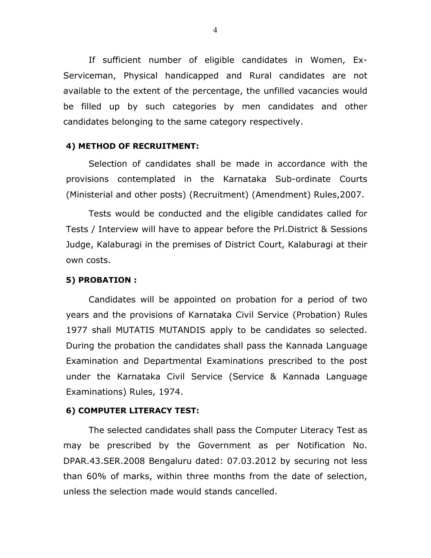If sufficient number of eligible candidates in Women, Ex-Serviceman, Physical handicapped and Rural candidates are not available to the extent of the percentage, the unfilled vacancies would be filled up by such categories by men candidates and other candidates belonging to the same category respectively.

#### 4) METHOD OF RECRUITMENT:

Selection of candidates shall be made in accordance with the provisions contemplated in the Karnataka Sub-ordinate Courts (Ministerial and other posts) (Recruitment) (Amendment) Rules,2007.

Tests would be conducted and the eligible candidates called for Tests / Interview will have to appear before the Prl.District & Sessions Judge, Kalaburagi in the premises of District Court, Kalaburagi at their own costs.

#### 5) PROBATION :

Candidates will be appointed on probation for a period of two years and the provisions of Karnataka Civil Service (Probation) Rules 1977 shall MUTATIS MUTANDIS apply to be candidates so selected. During the probation the candidates shall pass the Kannada Language Examination and Departmental Examinations prescribed to the post under the Karnataka Civil Service (Service & Kannada Language Examinations) Rules, 1974.

#### 6) COMPUTER LITERACY TEST:

The selected candidates shall pass the Computer Literacy Test as may be prescribed by the Government as per Notification No. DPAR.43.SER.2008 Bengaluru dated: 07.03.2012 by securing not less than 60% of marks, within three months from the date of selection, unless the selection made would stands cancelled.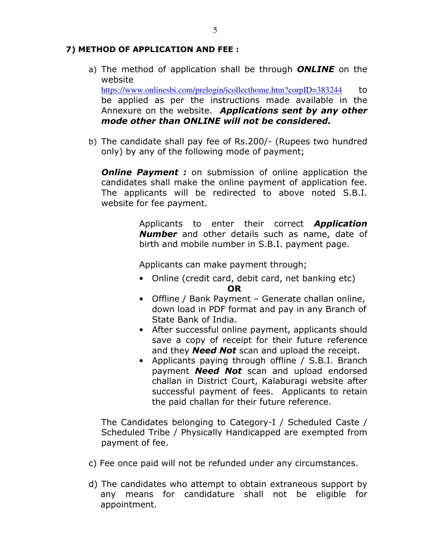## 7) METHOD OF APPLICATION AND FEE :

a) The method of application shall be through **ONLINE** on the website

https://www.onlinesbi.com/prelogin/icollecthome.htm?corpID=383244 to be applied as per the instructions made available in the Annexure on the website. Applications sent by any other mode other than ONLINE will not be considered.

b) The candidate shall pay fee of Rs.200/- (Rupees two hundred only) by any of the following mode of payment;

**Online Payment :** on submission of online application the candidates shall make the online payment of application fee. The applicants will be redirected to above noted S.B.I. website for fee payment.

> Applicants to enter their correct **Application Number** and other details such as name, date of birth and mobile number in S.B.I. payment page.

Applicants can make payment through;

- Online (credit card, debit card, net banking etc) OR
- Offline / Bank Payment Generate challan online, down load in PDF format and pay in any Branch of State Bank of India.
- After successful online payment, applicants should save a copy of receipt for their future reference and they **Need Not** scan and upload the receipt.
- Applicants paying through offline / S.B.I. Branch payment **Need Not** scan and upload endorsed challan in District Court, Kalaburagi website after successful payment of fees. Applicants to retain the paid challan for their future reference.

The Candidates belonging to Category-I / Scheduled Caste / Scheduled Tribe / Physically Handicapped are exempted from payment of fee.

- c) Fee once paid will not be refunded under any circumstances.
- d) The candidates who attempt to obtain extraneous support by any means for candidature shall not be eligible for appointment.